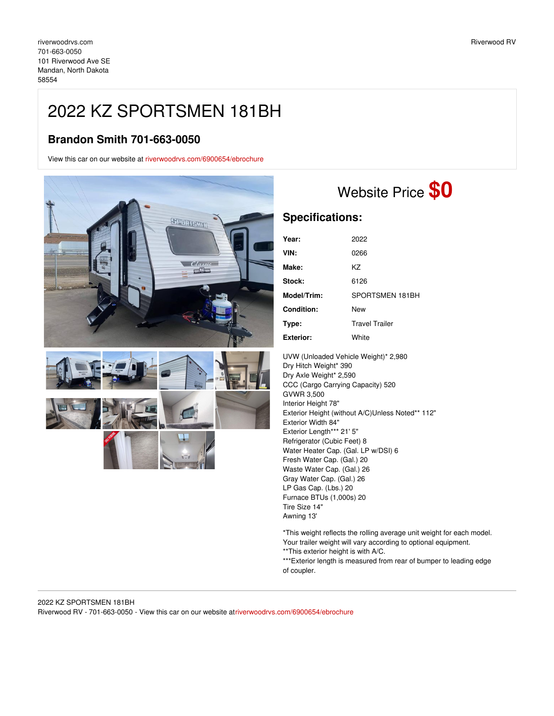## 2022 KZ SPORTSMEN 181BH

## **Brandon Smith 701-663-0050**

View this car on our website at [riverwoodrvs.com/6900654/ebrochure](https://riverwoodrvs.com/vehicle/6900654/2022-kz-sportsmen-181bh-mandan-north-dakota-58554/6900654/ebrochure)



## Website Price **\$0**

## **Specifications:**

| Year:            | 2022                  |
|------------------|-----------------------|
| VIN:             | 0266                  |
| Make:            | K7                    |
| Stock:           | 6126                  |
| Model/Trim:      | SPORTSMEN 181BH       |
| Condition:       | New                   |
| Type:            | <b>Travel Trailer</b> |
| <b>Exterior:</b> | White                 |

UVW (Unloaded Vehicle Weight)\* 2,980 Dry Hitch Weight\* 390 Dry Axle Weight\* 2,590 CCC (Cargo Carrying Capacity) 520 GVWR 3,500 Interior Height 78" Exterior Height (without A/C)Unless Noted\*\* 112" Exterior Width 84" Exterior Length\*\*\* 21' 5" Refrigerator (Cubic Feet) 8 Water Heater Cap. (Gal. LP w/DSI) 6 Fresh Water Cap. (Gal.) 20 Waste Water Cap. (Gal.) 26 Gray Water Cap. (Gal.) 26 LP Gas Cap. (Lbs.) 20 Furnace BTUs (1,000s) 20 Tire Size 14" Awning 13'

\*This weight reflects the rolling average unit weight for each model. Your trailer weight will vary according to optional equipment. \*\*This exterior height is with A/C.

\*\*\*Exterior length is measured from rear of bumper to leading edge of coupler.